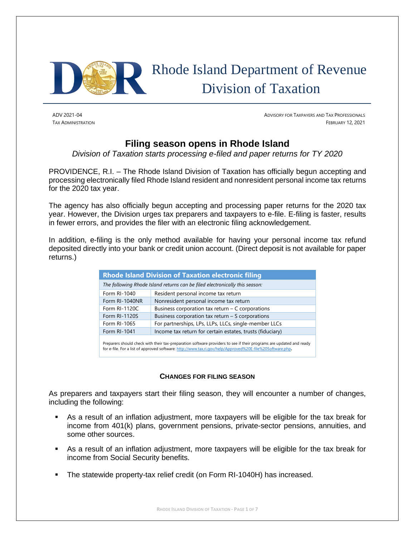

# Rhode Island Department of Revenue Division of Taxation

ADV 2021-04 ADVISORY FOR TAXPAYERS AND TAX PROFESSIONALS TAX ADMINISTRATION FEBRUARY 12, 2021

# **Filing season opens in Rhode Island**

*Division of Taxation starts processing e-filed and paper returns for TY 2020*

PROVIDENCE, R.I. – The Rhode Island Division of Taxation has officially begun accepting and processing electronically filed Rhode Island resident and nonresident personal income tax returns for the 2020 tax year.

The agency has also officially begun accepting and processing paper returns for the 2020 tax year. However, the Division urges tax preparers and taxpayers to e-file. E-filing is faster, results in fewer errors, and provides the filer with an electronic filing acknowledgement.

In addition, e-filing is the only method available for having your personal income tax refund deposited directly into your bank or credit union account. (Direct deposit is not available for paper returns.)

|                | <b>Rhode Island Division of Taxation electronic filing</b>                  |
|----------------|-----------------------------------------------------------------------------|
|                | The following Rhode Island returns can be filed electronically this season: |
| Form RI-1040   | Resident personal income tax return                                         |
| Form RI-1040NR | Nonresident personal income tax return                                      |
| Form RI-1120C  | Business corporation tax return $-$ C corporations                          |
| Form RI-1120S  | Business corporation tax return $-$ S corporations                          |
| Form RI-1065   | For partnerships, LPs, LLPs, LLCs, single-member LLCs                       |
| Form RI-1041   | Income tax return for certain estates, trusts (fiduciary)                   |
|                |                                                                             |

Preparers should check with their tax-preparation software providers to see if their programs are updated and ready for e-file. For a list of approved software[: http://www.tax.ri.gov/help/Approved%20E-file%20Software.php](http://www.tax.ri.gov/help/Approved%20E-file%20Software.php)**.**

#### **CHANGES FOR FILING SEASON**

As preparers and taxpayers start their filing season, they will encounter a number of changes, including the following:

- As a result of an inflation adjustment, more taxpayers will be eligible for the tax break for income from 401(k) plans, government pensions, private-sector pensions, annuities, and some other sources.
- As a result of an inflation adjustment, more taxpayers will be eligible for the tax break for income from Social Security benefits.
- The statewide property-tax relief credit (on Form RI-1040H) has increased.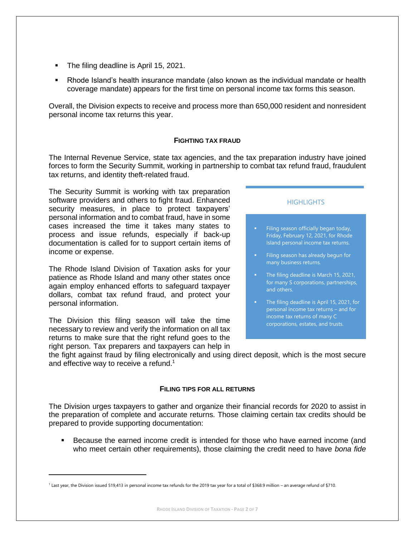- The filing deadline is April 15, 2021.
- Rhode Island's health insurance mandate (also known as the individual mandate or health coverage mandate) appears for the first time on personal income tax forms this season.

Overall, the Division expects to receive and process more than 650,000 resident and nonresident personal income tax returns this year.

#### **FIGHTING TAX FRAUD**

The Internal Revenue Service, state tax agencies, and the tax preparation industry have joined forces to form the Security Summit, working in partnership to combat tax refund fraud, fraudulent tax returns, and identity theft-related fraud.

The Security Summit is working with tax preparation software providers and others to fight fraud. Enhanced security measures, in place to protect taxpayers' personal information and to combat fraud, have in some cases increased the time it takes many states to process and issue refunds, especially if back-up documentation is called for to support certain items of income or expense.

The Rhode Island Division of Taxation asks for your patience as Rhode Island and many other states once again employ enhanced efforts to safeguard taxpayer dollars, combat tax refund fraud, and protect your personal information.

The Division this filing season will take the time necessary to review and verify the information on all tax returns to make sure that the right refund goes to the right person. Tax preparers and taxpayers can help in

#### **HIGHLIGHTS**

- Filing season officially began today, Friday, February 12, 2021, for Rhode Island personal income tax returns.
- Filing season has already begun for many business returns.
- The filing deadline is March 15, 2021, for many S corporations, partnerships, and others.
- The filing deadline is April 15, 2021, for personal income tax returns – and for income tax returns of many C corporations, estates, and trusts.

the fight against fraud by filing electronically and using direct deposit, which is the most secure and effective way to receive a refund.<sup>1</sup>

#### **FILING TIPS FOR ALL RETURNS**

The Division urges taxpayers to gather and organize their financial records for 2020 to assist in the preparation of complete and accurate returns. Those claiming certain tax credits should be prepared to provide supporting documentation:

Because the earned income credit is intended for those who have earned income (and who meet certain other requirements), those claiming the credit need to have *bona fide* 

<sup>&</sup>lt;sup>1</sup> Last year, the Division issued 519,413 in personal income tax refunds for the 2019 tax year for a total of \$368.9 million – an average refund of \$710.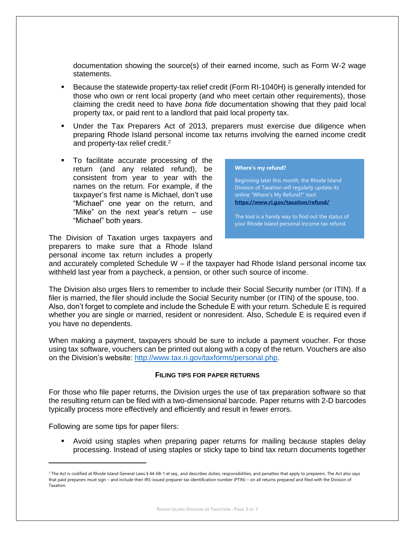documentation showing the source(s) of their earned income, such as Form W-2 wage statements.

- Because the statewide property-tax relief credit (Form RI-1040H) is generally intended for those who own or rent local property (and who meet certain other requirements), those claiming the credit need to have *bona fide* documentation showing that they paid local property tax, or paid rent to a landlord that paid local property tax.
- Under the Tax Preparers Act of 2013, preparers must exercise due diligence when preparing Rhode Island personal income tax returns involving the earned income credit and property-tax relief credit.<sup>2</sup>
- To facilitate accurate processing of the return (and any related refund), be consistent from year to year with the names on the return. For example, if the taxpayer's first name is Michael, don't use "Michael" one year on the return, and "Mike" on the next year's return – use "Michael" both years.

The Division of Taxation urges taxpayers and preparers to make sure that a Rhode Island personal income tax return includes a properly



Beginning later this month, the Rhode Island Division of Taxation will regularly update its online "Where's My Refund?" tool: **<https://www.ri.gov/taxation/refund/>**

The tool is a handy way to find out the status of your Rhode Island personal income tax refund.

and accurately completed Schedule W – if the taxpayer had Rhode Island personal income tax withheld last year from a paycheck, a pension, or other such source of income.

The Division also urges filers to remember to include their Social Security number (or ITIN). If a filer is married, the filer should include the Social Security number (or ITIN) of the spouse, too. Also, don't forget to complete and include the Schedule E with your return. Schedule E is required whether you are single or married, resident or nonresident. Also, Schedule E is required even if you have no dependents.

When making a payment, taxpayers should be sure to include a payment voucher. For those using tax software, vouchers can be printed out along with a copy of the return. Vouchers are also on the Division's website: [http://www.tax.ri.gov/taxforms/personal.php.](http://www.tax.ri.gov/taxforms/personal.php)

#### **FILING TIPS FOR PAPER RETURNS**

For those who file paper returns, the Division urges the use of tax preparation software so that the resulting return can be filed with a two-dimensional barcode. Paper returns with 2-D barcodes typically process more effectively and efficiently and result in fewer errors.

Following are some tips for paper filers:

▪ Avoid using staples when preparing paper returns for mailing because staples delay processing. Instead of using staples or sticky tape to bind tax return documents together

<sup>&</sup>lt;sup>2</sup> The Act is codified at Rhode Island General Laws § 44-68-1 *et seq.*, and describes duties, responsibilities, and penalties that apply to preparers. The Act also says that paid preparers must sign – and include their IRS-issued preparer tax identification number (PTIN) – on all returns prepared and filed with the Division of Taxation.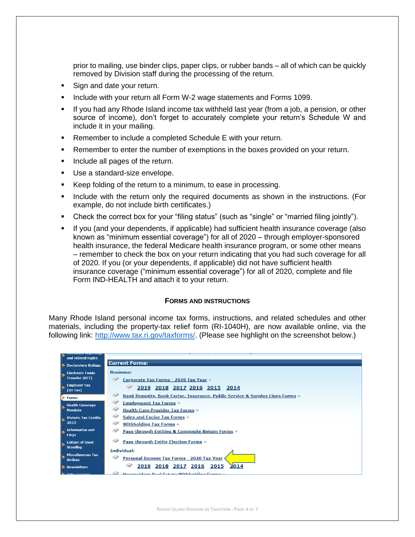prior to mailing, use binder clips, paper clips, or rubber bands – all of which can be quickly removed by Division staff during the processing of the return.

- Sign and date your return.
- Include with your return all Form W-2 wage statements and Forms 1099.
- If you had any Rhode Island income tax withheld last year (from a job, a pension, or other source of income), don't forget to accurately complete your return's Schedule W and include it in your mailing.
- Remember to include a completed Schedule E with your return.
- Remember to enter the number of exemptions in the boxes provided on your return.
- Include all pages of the return.
- Use a standard-size envelope.
- Keep folding of the return to a minimum, to ease in processing.
- **.** Include with the return only the required documents as shown in the instructions. (For example, do not include birth certificates.)
- Check the correct box for your "filing status" (such as "single" or "married filing jointly").
- If you (and your dependents, if applicable) had sufficient health insurance coverage (also known as "minimum essential coverage") for all of 2020 – through employer-sponsored health insurance, the federal Medicare health insurance program, or some other means – remember to check the box on your return indicating that you had such coverage for all of 2020. If you (or your dependents, if applicable) did not have sufficient health insurance coverage ("minimum essential coverage") for all of 2020, complete and file Form IND-HEALTH and attach it to your return.

#### **FORMS AND INSTRUCTIONS**

Many Rhode Island personal income tax forms, instructions, and related schedules and other materials, including the property-tax relief form (RI-1040H), are now available online, via the following link: [http://www.tax.ri.gov/taxforms/.](http://www.tax.ri.gov/taxforms/) (Please see highlight on the screenshot below.)

| and related topics                               |                                                                                    |
|--------------------------------------------------|------------------------------------------------------------------------------------|
| <b>Declaratory Rulings</b>                       | <b>Current Forms:</b>                                                              |
| <b>Electronic Funds</b><br><b>Transfer (EFT)</b> | <b>Business:</b><br>Corporate Tax Forms - 2020 Tax Year »                          |
| <b>Employer Tax</b><br>(UI Tax)                  | 2019 2018 2017 2016 2015 2014                                                      |
| <b>Forms</b>                                     | Î<br>Bank Deposits, Bank Excise, Insurance, Public Service & Surplus Lines Forms » |
| <b>Health Coverage</b><br><b>Mandate</b>         | -<br><b>Employment Tax Forms »</b><br><b>Health Care Provider Tax Forms »</b>      |
| <b>Historic Tax Credits</b><br>2013              | <b>Sales and Excise Tax Forms »</b><br><b>Withholding Tax Forms »</b>              |
| <b>Information and</b><br><b>FAOs</b>            | <b>Pass-through Entities &amp; Composite Return Forms »</b>                        |
| <b>Letters of Good</b><br><b>Standing</b>        | <b>Pass-through Entity Election Forms »</b>                                        |
| <b>Miscellaneous Tax</b><br><b>Notices</b>       | <b>Individual:</b><br>Personal Income Tax Forms - 2020 Tax Year                    |
| Newsletters                                      | $\lambda$ 014<br>2019 2018 2017 2016 2015                                          |
| <b>De Online Services</b>                        | Nonrecident Deal Ectate Withholding Forms                                          |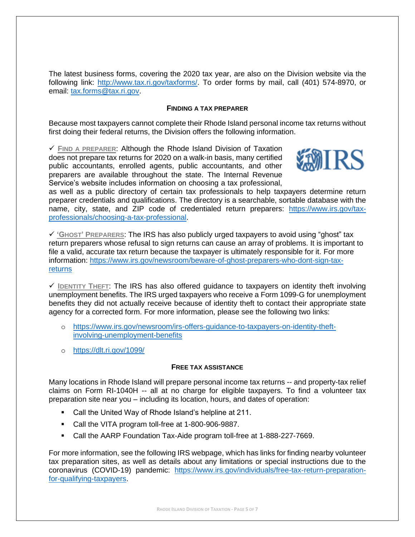The latest business forms, covering the 2020 tax year, are also on the Division website via the following link: [http://www.tax.ri.gov/taxforms/.](http://www.tax.ri.gov/taxforms/) To order forms by mail, call (401) 574-8970, or email: [tax.forms@tax.ri.gov.](mailto:tax.forms@tax.ri.gov)

## **FINDING A TAX PREPARER**

Because most taxpayers cannot complete their Rhode Island personal income tax returns without first doing their federal returns, the Division offers the following information.

✓ **FIND A PREPARER**: Although the Rhode Island Division of Taxation does not prepare tax returns for 2020 on a walk-in basis, many certified public accountants, enrolled agents, public accountants, and other preparers are available throughout the state. The Internal Revenue Service's website includes information on choosing a tax professional,



as well as a public directory of certain tax professionals to help taxpayers determine return preparer credentials and qualifications. The directory is a searchable, sortable database with the name, city, state, and ZIP code of credentialed return preparers: [https://www.irs.gov/tax](https://www.irs.gov/tax-professionals/choosing-a-tax-professional)[professionals/choosing-a-tax-professional.](https://www.irs.gov/tax-professionals/choosing-a-tax-professional)

✓ **'GHOST' PREPARERS**: The IRS has also publicly urged taxpayers to avoid using "ghost" tax return preparers whose refusal to sign returns can cause an array of problems. It is important to file a valid, accurate tax return because the taxpayer is ultimately responsible for it. For more information: [https://www.irs.gov/newsroom/beware-of-ghost-preparers-who-dont-sign-tax](https://www.irs.gov/newsroom/beware-of-ghost-preparers-who-dont-sign-tax-returns)[returns](https://www.irs.gov/newsroom/beware-of-ghost-preparers-who-dont-sign-tax-returns)

✓ **IDENTITY THEFT**: The IRS has also offered guidance to taxpayers on identity theft involving unemployment benefits. The IRS urged taxpayers who receive a Form 1099-G for unemployment benefits they did not actually receive because of identity theft to contact their appropriate state agency for a corrected form. For more information, please see the following two links:

- o [https://www.irs.gov/newsroom/irs-offers-guidance-to-taxpayers-on-identity-theft](https://www.irs.gov/newsroom/irs-offers-guidance-to-taxpayers-on-identity-theft-involving-unemployment-benefits)[involving-unemployment-benefits](https://www.irs.gov/newsroom/irs-offers-guidance-to-taxpayers-on-identity-theft-involving-unemployment-benefits)
- o <https://dlt.ri.gov/1099/>

#### **FREE TAX ASSISTANCE**

Many locations in Rhode Island will prepare personal income tax returns -- and property-tax relief claims on Form RI-1040H -- all at no charge for eligible taxpayers. To find a volunteer tax preparation site near you – including its location, hours, and dates of operation:

- Call the United Way of Rhode Island's helpline at 211.
- Call the VITA program toll-free at 1-800-906-9887.
- Call the AARP Foundation Tax-Aide program toll-free at 1-888-227-7669.

For more information, see the following IRS webpage, which has links for finding nearby volunteer tax preparation sites, as well as details about any limitations or special instructions due to the coronavirus (COVID-19) pandemic: [https://www.irs.gov/individuals/free-tax-return-preparation](https://www.irs.gov/individuals/free-tax-return-preparation-for-qualifying-taxpayers)[for-qualifying-taxpayers.](https://www.irs.gov/individuals/free-tax-return-preparation-for-qualifying-taxpayers)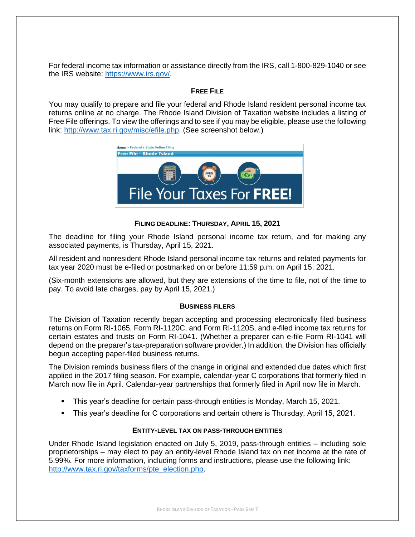For federal income tax information or assistance directly from the IRS, call 1-800-829-1040 or see the IRS website: [https://www.irs.gov/.](https://www.irs.gov/)

# **FREE FILE**

You may qualify to prepare and file your federal and Rhode Island resident personal income tax returns online at no charge. The Rhode Island Division of Taxation website includes a listing of Free File offerings. To view the offerings and to see if you may be eligible, please use the following link: [http://www.tax.ri.gov/misc/efile.php.](http://www.tax.ri.gov/misc/efile.php) (See screenshot below.)



# **FILING DEADLINE: THURSDAY, APRIL 15, 2021**

The deadline for filing your Rhode Island personal income tax return, and for making any associated payments, is Thursday, April 15, 2021.

All resident and nonresident Rhode Island personal income tax returns and related payments for tax year 2020 must be e-filed or postmarked on or before 11:59 p.m. on April 15, 2021.

(Six-month extensions are allowed, but they are extensions of the time to file, not of the time to pay. To avoid late charges, pay by April 15, 2021.)

#### **BUSINESS FILERS**

The Division of Taxation recently began accepting and processing electronically filed business returns on Form RI-1065, Form RI-1120C, and Form RI-1120S, and e-filed income tax returns for certain estates and trusts on Form RI-1041. (Whether a preparer can e-file Form RI-1041 will depend on the preparer's tax-preparation software provider.) In addition, the Division has officially begun accepting paper-filed business returns.

The Division reminds business filers of the change in original and extended due dates which first applied in the 2017 filing season. For example, calendar-year C corporations that formerly filed in March now file in April. Calendar-year partnerships that formerly filed in April now file in March.

- This year's deadline for certain pass-through entities is Monday, March 15, 2021.
- This year's deadline for C corporations and certain others is Thursday, April 15, 2021.

# **ENTITY-LEVEL TAX ON PASS-THROUGH ENTITIES**

Under Rhode Island legislation enacted on July 5, 2019, pass-through entities – including sole proprietorships – may elect to pay an entity-level Rhode Island tax on net income at the rate of 5.99%. For more information, including forms and instructions, please use the following link: [http://www.tax.ri.gov/taxforms/pte\\_election.php.](http://www.tax.ri.gov/taxforms/pte_election.php)